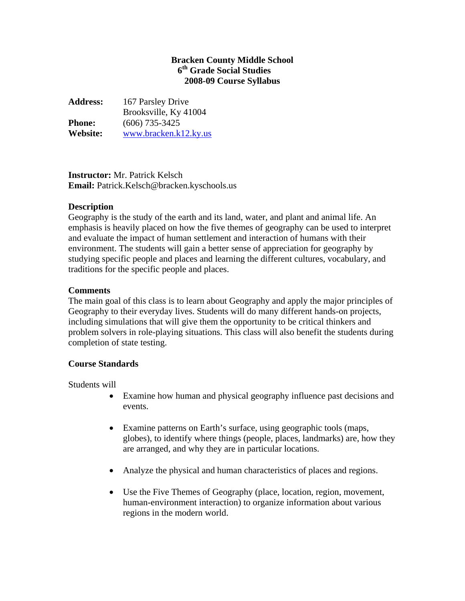## **Bracken County Middle School 6th Grade Social Studies 2008-09 Course Syllabus**

**Address:** 167 Parsley Drive Brooksville, Ky 41004 **Phone:** (606) 735-3425 **Website:** [www.bracken.k12.ky.us](http://www.bracken.k12.ky.us/)

**Instructor:** Mr. Patrick Kelsch **Email:** Patrick.Kelsch@bracken.kyschools.us

# **Description**

Geography is the study of the earth and its land, water, and plant and animal life. An emphasis is heavily placed on how the five themes of geography can be used to interpret and evaluate the impact of human settlement and interaction of humans with their environment. The students will gain a better sense of appreciation for geography by studying specific people and places and learning the different cultures, vocabulary, and traditions for the specific people and places.

#### **Comments**

The main goal of this class is to learn about Geography and apply the major principles of Geography to their everyday lives. Students will do many different hands-on projects, including simulations that will give them the opportunity to be critical thinkers and problem solvers in role-playing situations. This class will also benefit the students during completion of state testing.

# **Course Standards**

Students will

- Examine how human and physical geography influence past decisions and events.
- Examine patterns on Earth's surface, using geographic tools (maps, globes), to identify where things (people, places, landmarks) are, how they are arranged, and why they are in particular locations.
- Analyze the physical and human characteristics of places and regions.
- Use the Five Themes of Geography (place, location, region, movement, human-environment interaction) to organize information about various regions in the modern world.